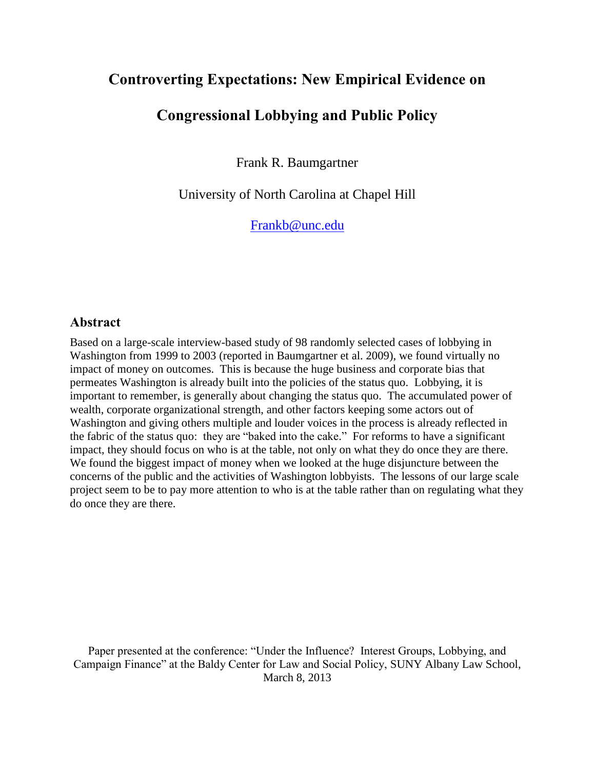# **Controverting Expectations: New Empirical Evidence on**

# **Congressional Lobbying and Public Policy**

Frank R. Baumgartner

University of North Carolina at Chapel Hill

[Frankb@unc.edu](mailto:Frankb@unc.edu)

# **Abstract**

Based on a large-scale interview-based study of 98 randomly selected cases of lobbying in Washington from 1999 to 2003 (reported in Baumgartner et al. 2009), we found virtually no impact of money on outcomes. This is because the huge business and corporate bias that permeates Washington is already built into the policies of the status quo. Lobbying, it is important to remember, is generally about changing the status quo. The accumulated power of wealth, corporate organizational strength, and other factors keeping some actors out of Washington and giving others multiple and louder voices in the process is already reflected in the fabric of the status quo: they are "baked into the cake." For reforms to have a significant impact, they should focus on who is at the table, not only on what they do once they are there. We found the biggest impact of money when we looked at the huge disjuncture between the concerns of the public and the activities of Washington lobbyists. The lessons of our large scale project seem to be to pay more attention to who is at the table rather than on regulating what they do once they are there.

Paper presented at the conference: "Under the Influence? Interest Groups, Lobbying, and Campaign Finance" at the Baldy Center for Law and Social Policy, SUNY Albany Law School, March 8, 2013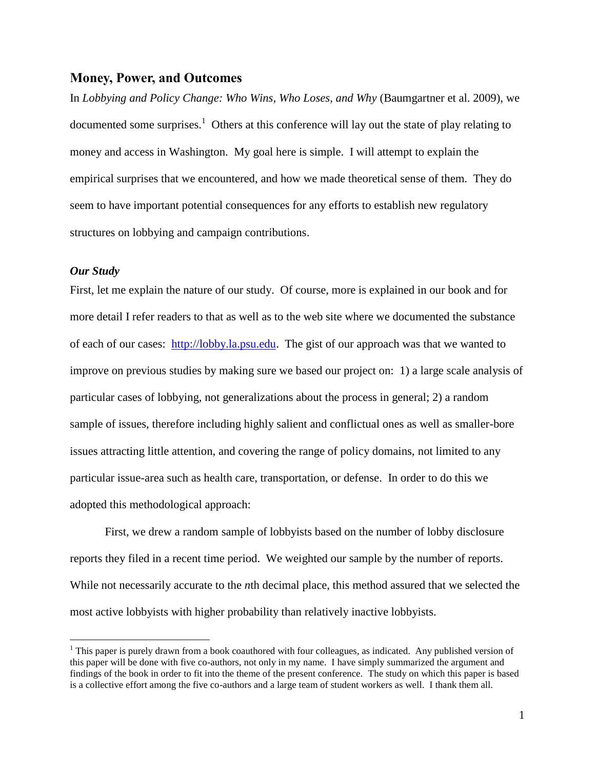### **Money, Power, and Outcomes**

In *Lobbying and Policy Change: Who Wins, Who Loses, and Why* (Baumgartner et al. 2009), we documented some surprises.<sup>1</sup> Others at this conference will lay out the state of play relating to money and access in Washington. My goal here is simple. I will attempt to explain the empirical surprises that we encountered, and how we made theoretical sense of them. They do seem to have important potential consequences for any efforts to establish new regulatory structures on lobbying and campaign contributions.

#### *Our Study*

 $\overline{a}$ 

First, let me explain the nature of our study. Of course, more is explained in our book and for more detail I refer readers to that as well as to the web site where we documented the substance of each of our cases: [http://lobby.la.psu.edu.](http://lobby.la.psu.edu/) The gist of our approach was that we wanted to improve on previous studies by making sure we based our project on: 1) a large scale analysis of particular cases of lobbying, not generalizations about the process in general; 2) a random sample of issues, therefore including highly salient and conflictual ones as well as smaller-bore issues attracting little attention, and covering the range of policy domains, not limited to any particular issue-area such as health care, transportation, or defense. In order to do this we adopted this methodological approach:

First, we drew a random sample of lobbyists based on the number of lobby disclosure reports they filed in a recent time period. We weighted our sample by the number of reports. While not necessarily accurate to the *n*th decimal place, this method assured that we selected the most active lobbyists with higher probability than relatively inactive lobbyists.

 $<sup>1</sup>$  This paper is purely drawn from a book coauthored with four colleagues, as indicated. Any published version of</sup> this paper will be done with five co-authors, not only in my name. I have simply summarized the argument and findings of the book in order to fit into the theme of the present conference. The study on which this paper is based is a collective effort among the five co-authors and a large team of student workers as well. I thank them all.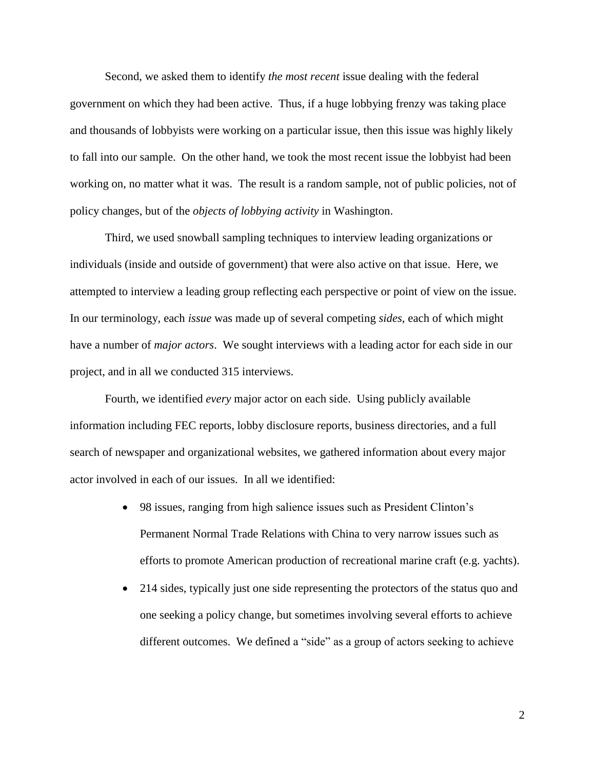Second, we asked them to identify *the most recent* issue dealing with the federal government on which they had been active. Thus, if a huge lobbying frenzy was taking place and thousands of lobbyists were working on a particular issue, then this issue was highly likely to fall into our sample. On the other hand, we took the most recent issue the lobbyist had been working on, no matter what it was. The result is a random sample, not of public policies, not of policy changes, but of the *objects of lobbying activity* in Washington.

Third, we used snowball sampling techniques to interview leading organizations or individuals (inside and outside of government) that were also active on that issue. Here, we attempted to interview a leading group reflecting each perspective or point of view on the issue. In our terminology, each *issue* was made up of several competing *sides*, each of which might have a number of *major actors*. We sought interviews with a leading actor for each side in our project, and in all we conducted 315 interviews.

Fourth, we identified *every* major actor on each side. Using publicly available information including FEC reports, lobby disclosure reports, business directories, and a full search of newspaper and organizational websites, we gathered information about every major actor involved in each of our issues. In all we identified:

- 98 issues, ranging from high salience issues such as President Clinton's Permanent Normal Trade Relations with China to very narrow issues such as efforts to promote American production of recreational marine craft (e.g. yachts).
- 214 sides, typically just one side representing the protectors of the status quo and one seeking a policy change, but sometimes involving several efforts to achieve different outcomes. We defined a "side" as a group of actors seeking to achieve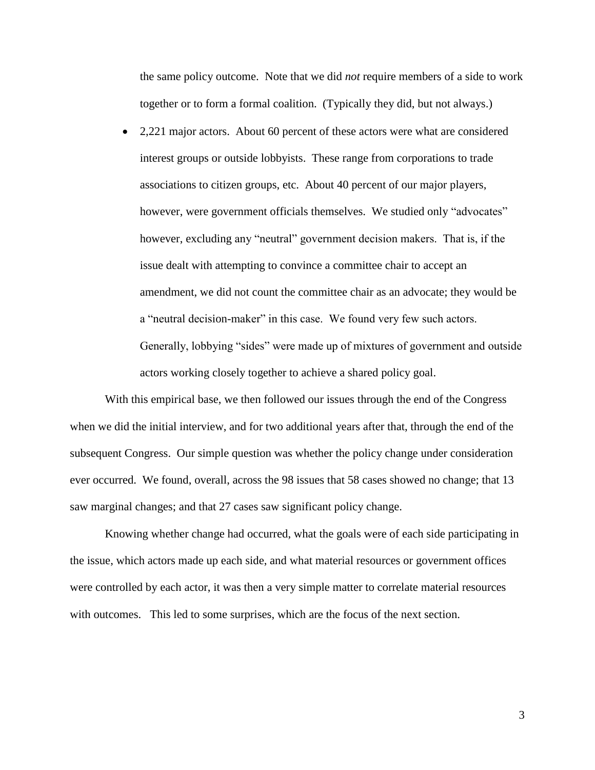the same policy outcome. Note that we did *not* require members of a side to work together or to form a formal coalition. (Typically they did, but not always.)

• 2,221 major actors. About 60 percent of these actors were what are considered interest groups or outside lobbyists. These range from corporations to trade associations to citizen groups, etc. About 40 percent of our major players, however, were government officials themselves. We studied only "advocates" however, excluding any "neutral" government decision makers. That is, if the issue dealt with attempting to convince a committee chair to accept an amendment, we did not count the committee chair as an advocate; they would be a "neutral decision-maker" in this case. We found very few such actors. Generally, lobbying "sides" were made up of mixtures of government and outside actors working closely together to achieve a shared policy goal.

With this empirical base, we then followed our issues through the end of the Congress when we did the initial interview, and for two additional years after that, through the end of the subsequent Congress. Our simple question was whether the policy change under consideration ever occurred. We found, overall, across the 98 issues that 58 cases showed no change; that 13 saw marginal changes; and that 27 cases saw significant policy change.

Knowing whether change had occurred, what the goals were of each side participating in the issue, which actors made up each side, and what material resources or government offices were controlled by each actor, it was then a very simple matter to correlate material resources with outcomes. This led to some surprises, which are the focus of the next section.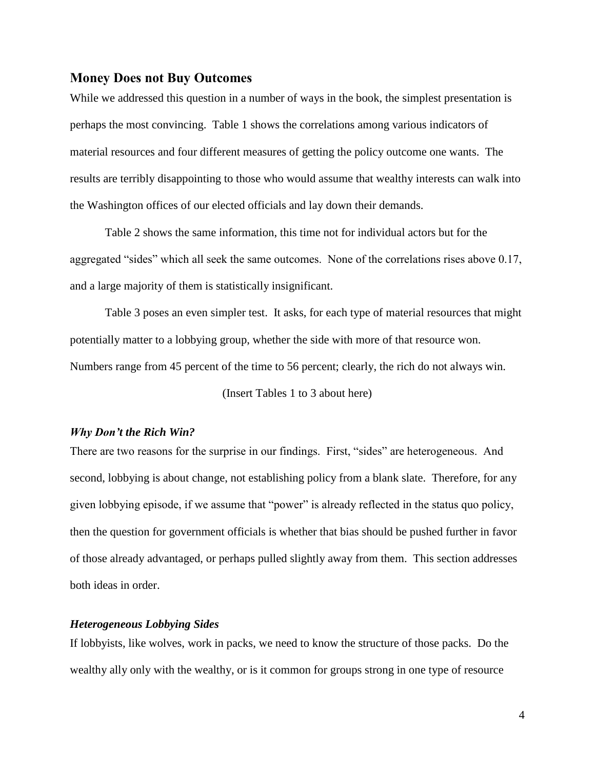### **Money Does not Buy Outcomes**

While we addressed this question in a number of ways in the book, the simplest presentation is perhaps the most convincing. Table 1 shows the correlations among various indicators of material resources and four different measures of getting the policy outcome one wants. The results are terribly disappointing to those who would assume that wealthy interests can walk into the Washington offices of our elected officials and lay down their demands.

Table 2 shows the same information, this time not for individual actors but for the aggregated "sides" which all seek the same outcomes. None of the correlations rises above 0.17, and a large majority of them is statistically insignificant.

Table 3 poses an even simpler test. It asks, for each type of material resources that might potentially matter to a lobbying group, whether the side with more of that resource won. Numbers range from 45 percent of the time to 56 percent; clearly, the rich do not always win.

(Insert Tables 1 to 3 about here)

#### *Why Don't the Rich Win?*

There are two reasons for the surprise in our findings. First, "sides" are heterogeneous. And second, lobbying is about change, not establishing policy from a blank slate. Therefore, for any given lobbying episode, if we assume that "power" is already reflected in the status quo policy, then the question for government officials is whether that bias should be pushed further in favor of those already advantaged, or perhaps pulled slightly away from them. This section addresses both ideas in order.

#### *Heterogeneous Lobbying Sides*

If lobbyists, like wolves, work in packs, we need to know the structure of those packs. Do the wealthy ally only with the wealthy, or is it common for groups strong in one type of resource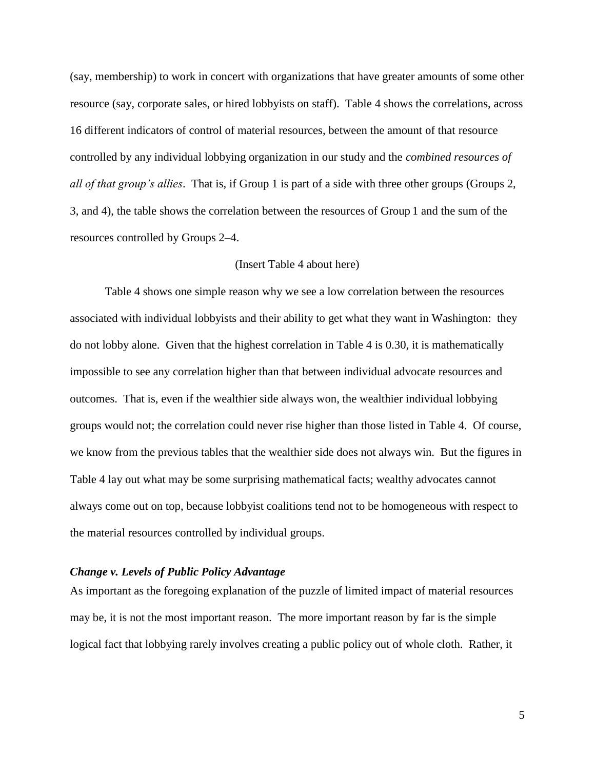(say, membership) to work in concert with organizations that have greater amounts of some other resource (say, corporate sales, or hired lobbyists on staff). Table 4 shows the correlations, across 16 different indicators of control of material resources, between the amount of that resource controlled by any individual lobbying organization in our study and the *combined resources of all of that group's allies*. That is, if Group 1 is part of a side with three other groups (Groups 2, 3, and 4), the table shows the correlation between the resources of Group 1 and the sum of the resources controlled by Groups 2–4.

#### (Insert Table 4 about here)

Table 4 shows one simple reason why we see a low correlation between the resources associated with individual lobbyists and their ability to get what they want in Washington: they do not lobby alone. Given that the highest correlation in Table 4 is 0.30, it is mathematically impossible to see any correlation higher than that between individual advocate resources and outcomes. That is, even if the wealthier side always won, the wealthier individual lobbying groups would not; the correlation could never rise higher than those listed in Table 4. Of course, we know from the previous tables that the wealthier side does not always win. But the figures in Table 4 lay out what may be some surprising mathematical facts; wealthy advocates cannot always come out on top, because lobbyist coalitions tend not to be homogeneous with respect to the material resources controlled by individual groups.

#### *Change v. Levels of Public Policy Advantage*

As important as the foregoing explanation of the puzzle of limited impact of material resources may be, it is not the most important reason. The more important reason by far is the simple logical fact that lobbying rarely involves creating a public policy out of whole cloth. Rather, it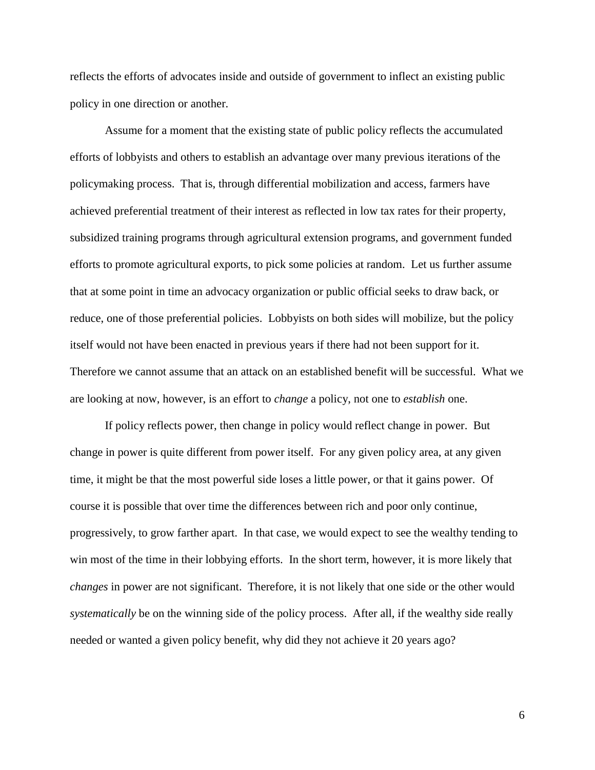reflects the efforts of advocates inside and outside of government to inflect an existing public policy in one direction or another.

Assume for a moment that the existing state of public policy reflects the accumulated efforts of lobbyists and others to establish an advantage over many previous iterations of the policymaking process. That is, through differential mobilization and access, farmers have achieved preferential treatment of their interest as reflected in low tax rates for their property, subsidized training programs through agricultural extension programs, and government funded efforts to promote agricultural exports, to pick some policies at random. Let us further assume that at some point in time an advocacy organization or public official seeks to draw back, or reduce, one of those preferential policies. Lobbyists on both sides will mobilize, but the policy itself would not have been enacted in previous years if there had not been support for it. Therefore we cannot assume that an attack on an established benefit will be successful. What we are looking at now, however, is an effort to *change* a policy, not one to *establish* one.

If policy reflects power, then change in policy would reflect change in power. But change in power is quite different from power itself. For any given policy area, at any given time, it might be that the most powerful side loses a little power, or that it gains power. Of course it is possible that over time the differences between rich and poor only continue, progressively, to grow farther apart. In that case, we would expect to see the wealthy tending to win most of the time in their lobbying efforts. In the short term, however, it is more likely that *changes* in power are not significant. Therefore, it is not likely that one side or the other would *systematically* be on the winning side of the policy process. After all, if the wealthy side really needed or wanted a given policy benefit, why did they not achieve it 20 years ago?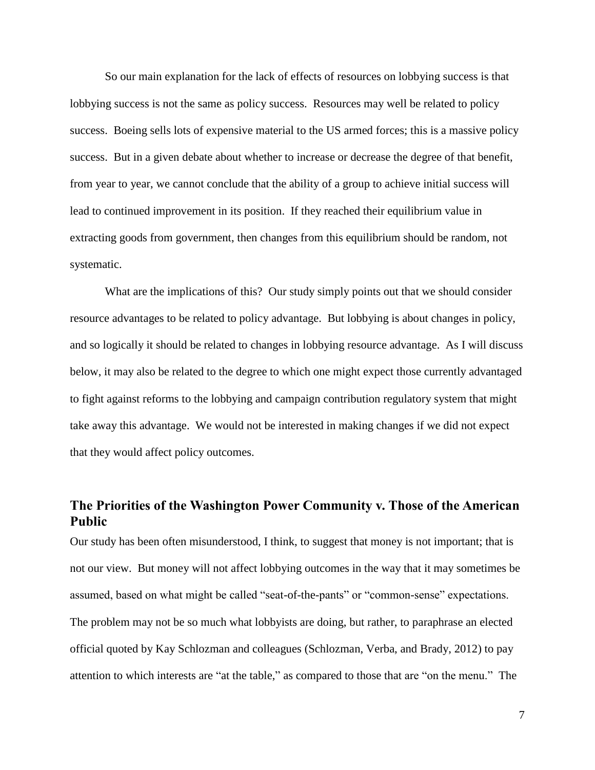So our main explanation for the lack of effects of resources on lobbying success is that lobbying success is not the same as policy success. Resources may well be related to policy success. Boeing sells lots of expensive material to the US armed forces; this is a massive policy success. But in a given debate about whether to increase or decrease the degree of that benefit, from year to year, we cannot conclude that the ability of a group to achieve initial success will lead to continued improvement in its position. If they reached their equilibrium value in extracting goods from government, then changes from this equilibrium should be random, not systematic.

What are the implications of this? Our study simply points out that we should consider resource advantages to be related to policy advantage. But lobbying is about changes in policy, and so logically it should be related to changes in lobbying resource advantage. As I will discuss below, it may also be related to the degree to which one might expect those currently advantaged to fight against reforms to the lobbying and campaign contribution regulatory system that might take away this advantage. We would not be interested in making changes if we did not expect that they would affect policy outcomes.

# **The Priorities of the Washington Power Community v. Those of the American Public**

Our study has been often misunderstood, I think, to suggest that money is not important; that is not our view. But money will not affect lobbying outcomes in the way that it may sometimes be assumed, based on what might be called "seat-of-the-pants" or "common-sense" expectations. The problem may not be so much what lobbyists are doing, but rather, to paraphrase an elected official quoted by Kay Schlozman and colleagues (Schlozman, Verba, and Brady, 2012) to pay attention to which interests are "at the table," as compared to those that are "on the menu." The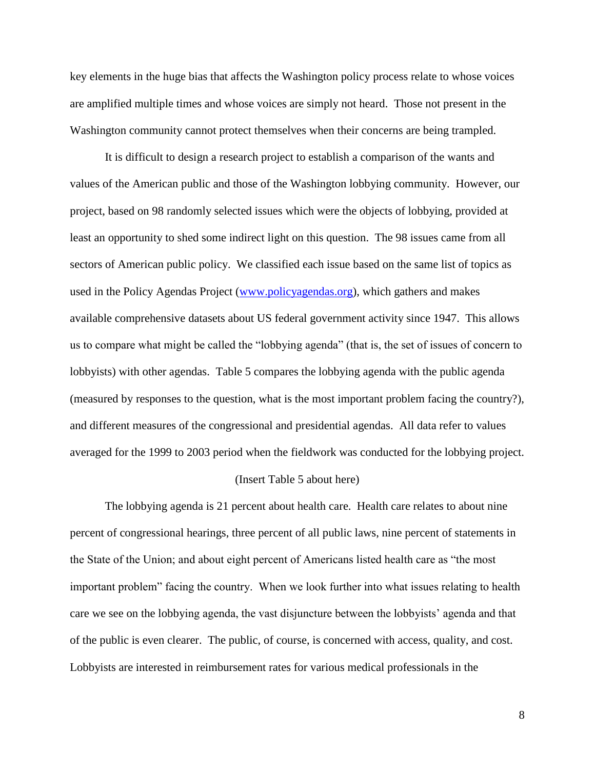key elements in the huge bias that affects the Washington policy process relate to whose voices are amplified multiple times and whose voices are simply not heard. Those not present in the Washington community cannot protect themselves when their concerns are being trampled.

It is difficult to design a research project to establish a comparison of the wants and values of the American public and those of the Washington lobbying community. However, our project, based on 98 randomly selected issues which were the objects of lobbying, provided at least an opportunity to shed some indirect light on this question. The 98 issues came from all sectors of American public policy. We classified each issue based on the same list of topics as used in the Policy Agendas Project [\(www.policyagendas.org\)](http://www.policyagendas.org/), which gathers and makes available comprehensive datasets about US federal government activity since 1947. This allows us to compare what might be called the "lobbying agenda" (that is, the set of issues of concern to lobbyists) with other agendas. Table 5 compares the lobbying agenda with the public agenda (measured by responses to the question, what is the most important problem facing the country?), and different measures of the congressional and presidential agendas. All data refer to values averaged for the 1999 to 2003 period when the fieldwork was conducted for the lobbying project.

#### (Insert Table 5 about here)

The lobbying agenda is 21 percent about health care. Health care relates to about nine percent of congressional hearings, three percent of all public laws, nine percent of statements in the State of the Union; and about eight percent of Americans listed health care as "the most important problem" facing the country. When we look further into what issues relating to health care we see on the lobbying agenda, the vast disjuncture between the lobbyists' agenda and that of the public is even clearer. The public, of course, is concerned with access, quality, and cost. Lobbyists are interested in reimbursement rates for various medical professionals in the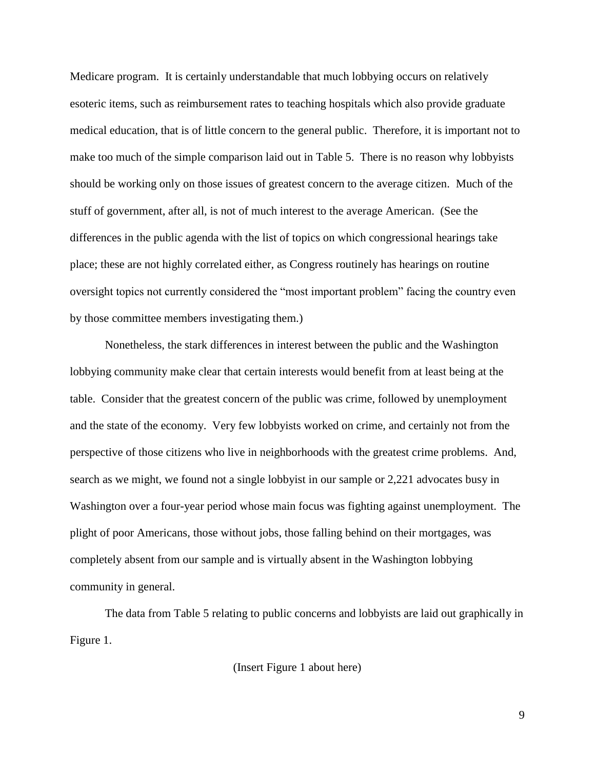Medicare program. It is certainly understandable that much lobbying occurs on relatively esoteric items, such as reimbursement rates to teaching hospitals which also provide graduate medical education, that is of little concern to the general public. Therefore, it is important not to make too much of the simple comparison laid out in Table 5. There is no reason why lobbyists should be working only on those issues of greatest concern to the average citizen. Much of the stuff of government, after all, is not of much interest to the average American. (See the differences in the public agenda with the list of topics on which congressional hearings take place; these are not highly correlated either, as Congress routinely has hearings on routine oversight topics not currently considered the "most important problem" facing the country even by those committee members investigating them.)

Nonetheless, the stark differences in interest between the public and the Washington lobbying community make clear that certain interests would benefit from at least being at the table. Consider that the greatest concern of the public was crime, followed by unemployment and the state of the economy. Very few lobbyists worked on crime, and certainly not from the perspective of those citizens who live in neighborhoods with the greatest crime problems. And, search as we might, we found not a single lobbyist in our sample or 2,221 advocates busy in Washington over a four-year period whose main focus was fighting against unemployment. The plight of poor Americans, those without jobs, those falling behind on their mortgages, was completely absent from our sample and is virtually absent in the Washington lobbying community in general.

The data from Table 5 relating to public concerns and lobbyists are laid out graphically in Figure 1.

(Insert Figure 1 about here)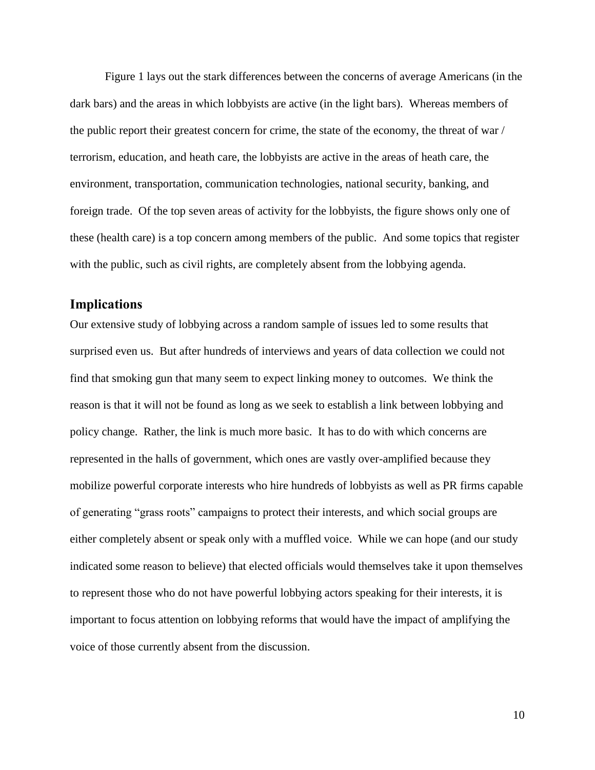Figure 1 lays out the stark differences between the concerns of average Americans (in the dark bars) and the areas in which lobbyists are active (in the light bars). Whereas members of the public report their greatest concern for crime, the state of the economy, the threat of war / terrorism, education, and heath care, the lobbyists are active in the areas of heath care, the environment, transportation, communication technologies, national security, banking, and foreign trade. Of the top seven areas of activity for the lobbyists, the figure shows only one of these (health care) is a top concern among members of the public. And some topics that register with the public, such as civil rights, are completely absent from the lobbying agenda.

## **Implications**

Our extensive study of lobbying across a random sample of issues led to some results that surprised even us. But after hundreds of interviews and years of data collection we could not find that smoking gun that many seem to expect linking money to outcomes. We think the reason is that it will not be found as long as we seek to establish a link between lobbying and policy change. Rather, the link is much more basic. It has to do with which concerns are represented in the halls of government, which ones are vastly over-amplified because they mobilize powerful corporate interests who hire hundreds of lobbyists as well as PR firms capable of generating "grass roots" campaigns to protect their interests, and which social groups are either completely absent or speak only with a muffled voice. While we can hope (and our study indicated some reason to believe) that elected officials would themselves take it upon themselves to represent those who do not have powerful lobbying actors speaking for their interests, it is important to focus attention on lobbying reforms that would have the impact of amplifying the voice of those currently absent from the discussion.

10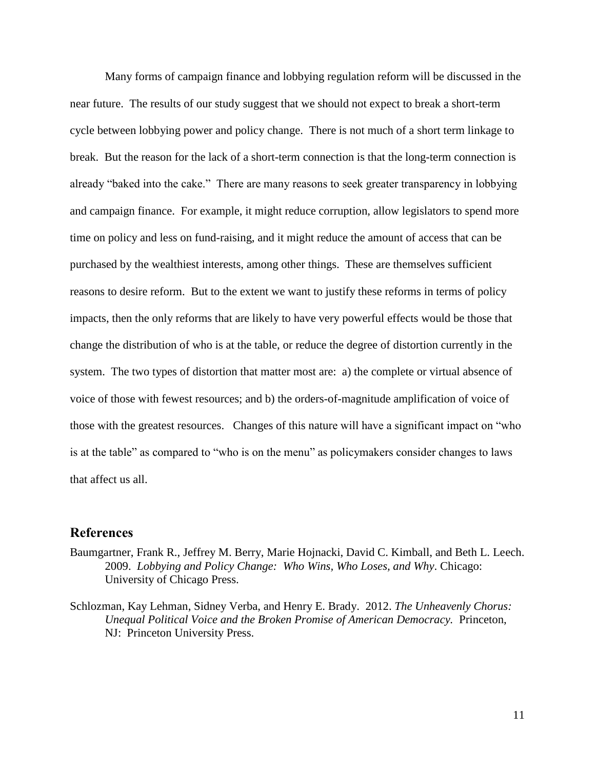Many forms of campaign finance and lobbying regulation reform will be discussed in the near future. The results of our study suggest that we should not expect to break a short-term cycle between lobbying power and policy change. There is not much of a short term linkage to break. But the reason for the lack of a short-term connection is that the long-term connection is already "baked into the cake." There are many reasons to seek greater transparency in lobbying and campaign finance. For example, it might reduce corruption, allow legislators to spend more time on policy and less on fund-raising, and it might reduce the amount of access that can be purchased by the wealthiest interests, among other things. These are themselves sufficient reasons to desire reform. But to the extent we want to justify these reforms in terms of policy impacts, then the only reforms that are likely to have very powerful effects would be those that change the distribution of who is at the table, or reduce the degree of distortion currently in the system. The two types of distortion that matter most are: a) the complete or virtual absence of voice of those with fewest resources; and b) the orders-of-magnitude amplification of voice of those with the greatest resources. Changes of this nature will have a significant impact on "who is at the table" as compared to "who is on the menu" as policymakers consider changes to laws that affect us all.

### **References**

- Baumgartner, Frank R., Jeffrey M. Berry, Marie Hojnacki, David C. Kimball, and Beth L. Leech. 2009. *Lobbying and Policy Change: Who Wins, Who Loses, and Why*. Chicago: University of Chicago Press.
- Schlozman, Kay Lehman, Sidney Verba, and Henry E. Brady. 2012. *The Unheavenly Chorus: Unequal Political Voice and the Broken Promise of American Democracy.* Princeton, NJ: Princeton University Press.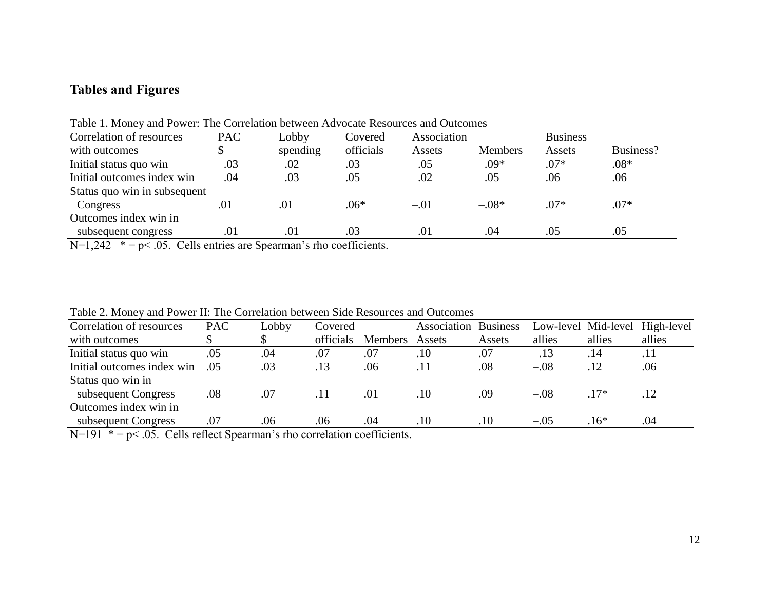# **Tables and Figures**

| Correlation of resources                                                                                                                                                                                                                                                                                                           | <b>PAC</b> | Lobby    | Covered       | Association |                | <b>Business</b> |           |  |
|------------------------------------------------------------------------------------------------------------------------------------------------------------------------------------------------------------------------------------------------------------------------------------------------------------------------------------|------------|----------|---------------|-------------|----------------|-----------------|-----------|--|
| with outcomes                                                                                                                                                                                                                                                                                                                      |            | spending | officials     | Assets      | <b>Members</b> | Assets          | Business? |  |
| Initial status quo win                                                                                                                                                                                                                                                                                                             | $-.03$     | $-.02$   | .03           | $-.05$      | $-.09*$        | $.07*$          | $.08*$    |  |
| Initial outcomes index win                                                                                                                                                                                                                                                                                                         | $-.04$     | $-.03$   | .05           | $-.02$      | $-.05$         | .06             | .06       |  |
| Status quo win in subsequent                                                                                                                                                                                                                                                                                                       |            |          |               |             |                |                 |           |  |
| Congress                                                                                                                                                                                                                                                                                                                           | .01        | .01      | $.06*$        | $-.01$      | $-.08*$        | $.07*$          | $.07*$    |  |
| Outcomes index win in                                                                                                                                                                                                                                                                                                              |            |          |               |             |                |                 |           |  |
| subsequent congress                                                                                                                                                                                                                                                                                                                | $-.01$     | $-.01$   | .03           | $-.01$      | $-.04$         | .05             | .05       |  |
| $\mathbf{v}$ $\mathbf{v}$ $\mathbf{v}$ $\mathbf{v}$ $\mathbf{v}$ $\mathbf{v}$ $\mathbf{v}$ $\mathbf{v}$ $\mathbf{v}$ $\mathbf{v}$ $\mathbf{v}$ $\mathbf{v}$ $\mathbf{v}$ $\mathbf{v}$ $\mathbf{v}$ $\mathbf{v}$ $\mathbf{v}$ $\mathbf{v}$ $\mathbf{v}$ $\mathbf{v}$ $\mathbf{v}$ $\mathbf{v}$ $\mathbf{v}$ $\mathbf{v}$ $\mathbf{$ | $\sim$     |          | $\sim$ $\sim$ |             |                |                 |           |  |

Table 1. Money and Power: The Correlation between Advocate Resources and Outcomes

N=1,242  $* = p < .05$ . Cells entries are Spearman's rho coefficients.

Table 2. Money and Power II: The Correlation between Side Resources and Outcomes

| Correlation of resources   | <b>PAC</b> | Lobby | Covered   |                | Association | <b>Business</b> | Low-level Mid-level |        | High-level |
|----------------------------|------------|-------|-----------|----------------|-------------|-----------------|---------------------|--------|------------|
| with outcomes              |            |       | officials | <b>Members</b> | Assets      | Assets          | allies              | allies | allies     |
| Initial status quo win     | .05        | .04   | .07       | .07            | .10         | .07             | $-.13$              | .14    | .11        |
| Initial outcomes index win | .05        | .03   | .13       | .06            | .11         | .08             | $-.08$              | .12    | .06        |
| Status quo win in          |            |       |           |                |             |                 |                     |        |            |
| subsequent Congress        | .08        | .07   | .11       | .01            | .10         | .09             | $-.08$              | $.17*$ | .12        |
| Outcomes index win in      |            |       |           |                |             |                 |                     |        |            |
| subsequent Congress        | .07        | .06   | .06       | .04            | .10         | .10             | $-.05$              | $.16*$ | .04        |
|                            |            |       |           |                |             |                 |                     |        |            |

 $N=191$  \* = p< .05. Cells reflect Spearman's rho correlation coefficients.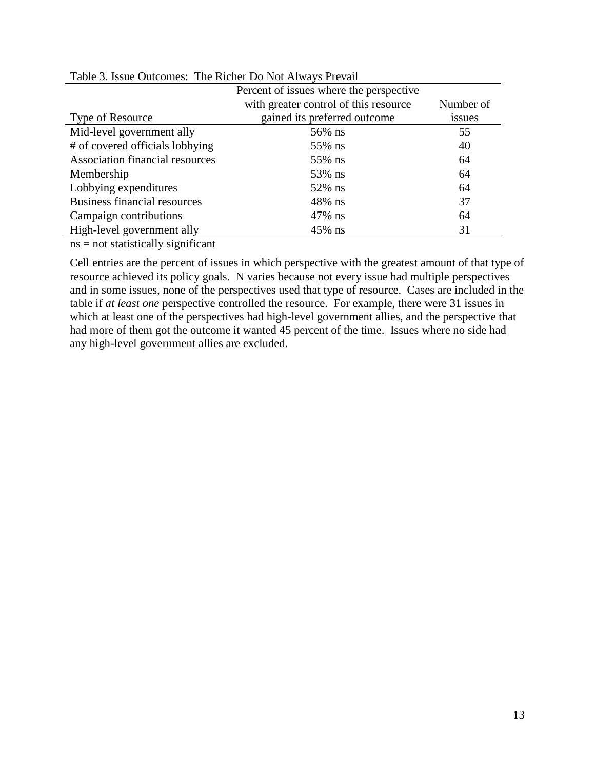|                                        | Percent of issues where the perspective |           |  |  |
|----------------------------------------|-----------------------------------------|-----------|--|--|
|                                        | with greater control of this resource   | Number of |  |  |
| Type of Resource                       | gained its preferred outcome            | issues    |  |  |
| Mid-level government ally              | 56% ns                                  | 55        |  |  |
| # of covered officials lobbying        | 55% ns                                  | 40        |  |  |
| <b>Association financial resources</b> | 55% ns                                  | 64        |  |  |
| Membership                             | 53% ns                                  | 64        |  |  |
| Lobbying expenditures                  | 52% ns                                  | 64        |  |  |
| <b>Business financial resources</b>    | $48\%$ ns                               | 37        |  |  |
| Campaign contributions                 | 47% ns                                  | 64        |  |  |
| High-level government ally             | $45\%$ ns                               | 31        |  |  |
|                                        |                                         |           |  |  |

## Table 3. Issue Outcomes: The Richer Do Not Always Prevail

ns = not statistically significant

Cell entries are the percent of issues in which perspective with the greatest amount of that type of resource achieved its policy goals. N varies because not every issue had multiple perspectives and in some issues, none of the perspectives used that type of resource. Cases are included in the table if *at least one* perspective controlled the resource. For example, there were 31 issues in which at least one of the perspectives had high-level government allies, and the perspective that had more of them got the outcome it wanted 45 percent of the time. Issues where no side had any high-level government allies are excluded.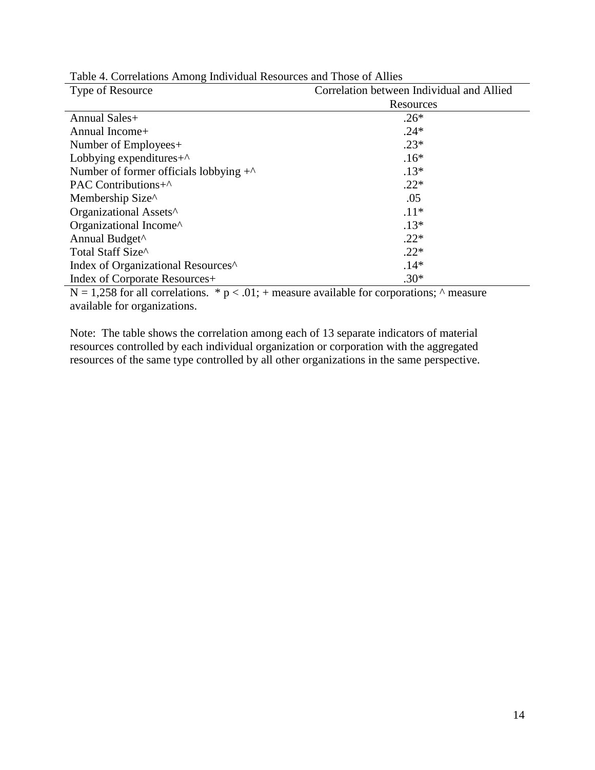| Type of Resource                                 | Correlation between Individual and Allied |  |  |  |  |
|--------------------------------------------------|-------------------------------------------|--|--|--|--|
|                                                  | Resources                                 |  |  |  |  |
| Annual Sales+                                    | $.26*$                                    |  |  |  |  |
| Annual Income+                                   | $.24*$                                    |  |  |  |  |
| Number of Employees+                             | $.23*$                                    |  |  |  |  |
| Lobbying expenditures $+^{\wedge}$               | $.16*$                                    |  |  |  |  |
| Number of former officials lobbying $+^{\wedge}$ | $.13*$                                    |  |  |  |  |
| PAC Contributions+^                              | $.22*$                                    |  |  |  |  |
| Membership Size^                                 | .05                                       |  |  |  |  |
| Organizational Assets <sup>^</sup>               | $.11*$                                    |  |  |  |  |
| Organizational Income^                           | $.13*$                                    |  |  |  |  |
| Annual Budget <sup>^</sup>                       | $.22*$                                    |  |  |  |  |
| Total Staff Size^                                | $.22*$                                    |  |  |  |  |
| Index of Organizational Resources <sup>^</sup>   | $.14*$                                    |  |  |  |  |
| Index of Corporate Resources+                    | $.30*$                                    |  |  |  |  |

 $N = 1,258$  for all correlations. \*  $p < .01$ ; + measure available for corporations;  $\land$  measure available for organizations.

Note: The table shows the correlation among each of 13 separate indicators of material resources controlled by each individual organization or corporation with the aggregated resources of the same type controlled by all other organizations in the same perspective.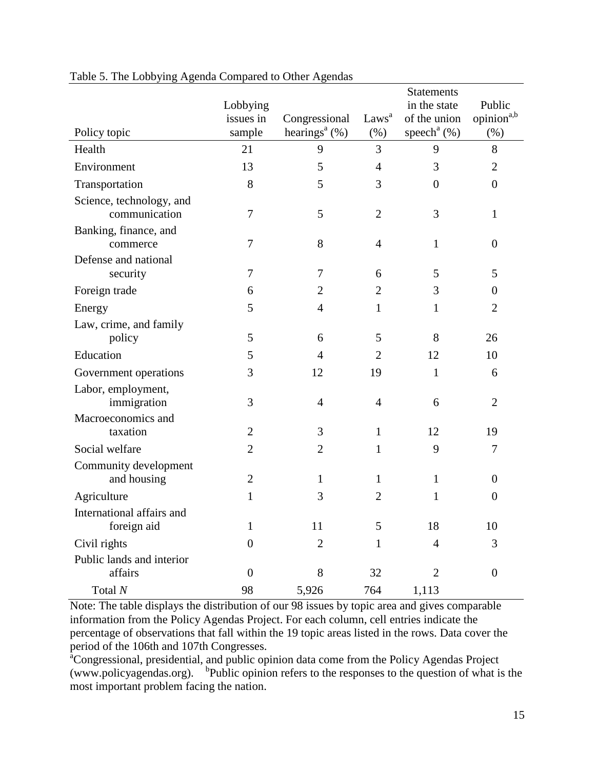|                                           |                  |                                        |                   | <b>Statements</b>          |                        |  |  |  |
|-------------------------------------------|------------------|----------------------------------------|-------------------|----------------------------|------------------------|--|--|--|
|                                           | Lobbying         |                                        |                   | in the state               | Public                 |  |  |  |
|                                           | issues in        | Congressional                          | Laws <sup>a</sup> | of the union               | opinion <sup>a,b</sup> |  |  |  |
| Policy topic                              | sample           | hearings <sup><math>a</math></sup> (%) | (% )              | speech <sup>a</sup> $(\%)$ | (% )                   |  |  |  |
| Health                                    | 21               | 9                                      | 3                 | 9                          | 8                      |  |  |  |
| Environment                               | 13               | 5                                      | $\overline{4}$    | 3                          | $\overline{2}$         |  |  |  |
| Transportation                            | 8                | 5                                      | 3                 | $\theta$                   | $\boldsymbol{0}$       |  |  |  |
| Science, technology, and<br>communication | 7                | 5                                      | $\overline{2}$    | 3                          | $\mathbf{1}$           |  |  |  |
| Banking, finance, and<br>commerce         | 7                | 8                                      | $\overline{4}$    | $\mathbf{1}$               | $\boldsymbol{0}$       |  |  |  |
| Defense and national                      |                  |                                        |                   |                            |                        |  |  |  |
| security                                  | 7                | 7                                      | 6                 | 5                          | 5                      |  |  |  |
| Foreign trade                             | 6                | 2                                      | 2                 | 3                          | $\overline{0}$         |  |  |  |
| Energy                                    | 5                | $\overline{4}$                         | 1                 | 1                          | $\mathfrak{2}$         |  |  |  |
| Law, crime, and family                    |                  |                                        |                   |                            |                        |  |  |  |
| policy                                    | 5                | 6                                      | 5                 | 8                          | 26                     |  |  |  |
| Education                                 | 5                | $\overline{4}$                         | $\overline{2}$    | 12                         | 10                     |  |  |  |
| Government operations                     | 3                | 12                                     | 19                | $\mathbf{1}$               | 6                      |  |  |  |
| Labor, employment,                        |                  |                                        |                   |                            |                        |  |  |  |
| immigration                               | 3                | $\overline{4}$                         | $\overline{4}$    | 6                          | $\overline{2}$         |  |  |  |
| Macroeconomics and<br>taxation            | $\overline{2}$   | 3                                      | $\mathbf{1}$      | 12                         | 19                     |  |  |  |
| Social welfare                            | 2                | $\overline{2}$                         | 1                 | 9                          | 7                      |  |  |  |
|                                           |                  |                                        |                   |                            |                        |  |  |  |
| Community development<br>and housing      | $\overline{2}$   | 1                                      | 1                 | $\mathbf{1}$               | $\overline{0}$         |  |  |  |
| Agriculture                               | 1                | 3                                      | $\overline{2}$    | 1                          | $\boldsymbol{0}$       |  |  |  |
| International affairs and                 |                  |                                        |                   |                            |                        |  |  |  |
| foreign aid                               | 1                | 11                                     | 5                 | 18                         | 10                     |  |  |  |
| Civil rights                              | $\overline{0}$   | $\overline{2}$                         | 1                 | $\overline{4}$             | 3                      |  |  |  |
| Public lands and interior                 |                  |                                        |                   |                            |                        |  |  |  |
| affairs                                   | $\boldsymbol{0}$ | 8                                      | 32                | 2                          | $\boldsymbol{0}$       |  |  |  |
| Total $N$                                 | 98               | 5,926                                  | 764               | 1,113                      |                        |  |  |  |

#### Table 5. The Lobbying Agenda Compared to Other Agendas

Note: The table displays the distribution of our 98 issues by topic area and gives comparable information from the Policy Agendas Project. For each column, cell entries indicate the percentage of observations that fall within the 19 topic areas listed in the rows. Data cover the period of the 106th and 107th Congresses.

<sup>a</sup>Congressional, presidential, and public opinion data come from the Policy Agendas Project (www.policyagendas.org). b Public opinion refers to the responses to the question of what is the most important problem facing the nation.